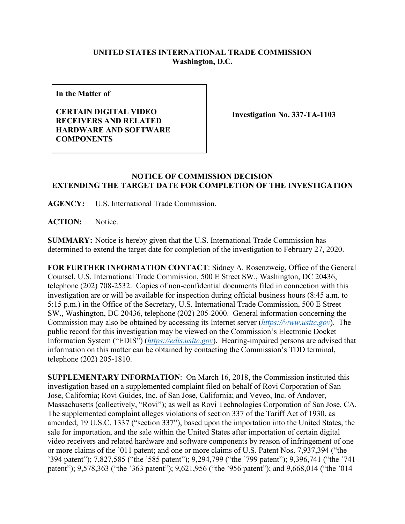## **UNITED STATES INTERNATIONAL TRADE COMMISSION Washington, D.C.**

**In the Matter of**

**CERTAIN DIGITAL VIDEO RECEIVERS AND RELATED HARDWARE AND SOFTWARE COMPONENTS**

**Investigation No. 337-TA-1103**

## **NOTICE OF COMMISSION DECISION EXTENDING THE TARGET DATE FOR COMPLETION OF THE INVESTIGATION**

**AGENCY:** U.S. International Trade Commission.

ACTION: Notice.

**SUMMARY:** Notice is hereby given that the U.S. International Trade Commission has determined to extend the target date for completion of the investigation to February 27, 2020.

**FOR FURTHER INFORMATION CONTACT**: Sidney A. Rosenzweig, Office of the General Counsel, U.S. International Trade Commission, 500 E Street SW., Washington, DC 20436, telephone (202) 708-2532. Copies of non-confidential documents filed in connection with this investigation are or will be available for inspection during official business hours (8:45 a.m. to 5:15 p.m.) in the Office of the Secretary, U.S. International Trade Commission, 500 E Street SW., Washington, DC 20436, telephone (202) 205-2000. General information concerning the Commission may also be obtained by accessing its Internet server (*[https://www.usitc.gov](https://www.usitc.gov/)*). The public record for this investigation may be viewed on the Commission's Electronic Docket Information System ("EDIS") (*[https://edis.usitc.gov](https://edis.usitc.gov/)*). Hearing-impaired persons are advised that information on this matter can be obtained by contacting the Commission's TDD terminal, telephone (202) 205-1810.

**SUPPLEMENTARY INFORMATION**: On March 16, 2018, the Commission instituted this investigation based on a supplemented complaint filed on behalf of Rovi Corporation of San Jose, California; Rovi Guides, Inc. of San Jose, California; and Veveo, Inc. of Andover, Massachusetts (collectively, "Rovi"); as well as Rovi Technologies Corporation of San Jose, CA. The supplemented complaint alleges violations of section 337 of the Tariff Act of 1930, as amended, 19 U.S.C. 1337 ("section 337"), based upon the importation into the United States, the sale for importation, and the sale within the United States after importation of certain digital video receivers and related hardware and software components by reason of infringement of one or more claims of the '011 patent; and one or more claims of U.S. Patent Nos. 7,937,394 ("the '394 patent"); 7,827,585 ("the '585 patent"); 9,294,799 ("the '799 patent"); 9,396,741 ("the '741 patent"); 9,578,363 ("the '363 patent"); 9,621,956 ("the '956 patent"); and 9,668,014 ("the '014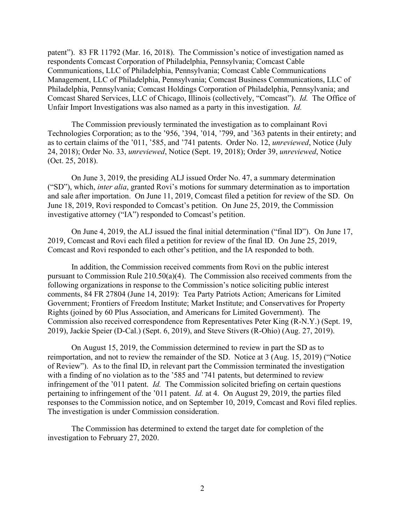patent"). 83 FR 11792 (Mar. 16, 2018). The Commission's notice of investigation named as respondents Comcast Corporation of Philadelphia, Pennsylvania; Comcast Cable Communications, LLC of Philadelphia, Pennsylvania; Comcast Cable Communications Management, LLC of Philadelphia, Pennsylvania; Comcast Business Communications, LLC of Philadelphia, Pennsylvania; Comcast Holdings Corporation of Philadelphia, Pennsylvania; and Comcast Shared Services, LLC of Chicago, Illinois (collectively, "Comcast"). *Id.* The Office of Unfair Import Investigations was also named as a party in this investigation. *Id.*

The Commission previously terminated the investigation as to complainant Rovi Technologies Corporation; as to the '956, '394, '014, '799, and '363 patents in their entirety; and as to certain claims of the '011, '585, and '741 patents. Order No. 12, *unreviewed*, Notice (July 24, 2018); Order No. 33, *unreviewed*, Notice (Sept. 19, 2018); Order 39, *unreviewed*, Notice (Oct. 25, 2018).

On June 3, 2019, the presiding ALJ issued Order No. 47, a summary determination ("SD"), which, *inter alia*, granted Rovi's motions for summary determination as to importation and sale after importation. On June 11, 2019, Comcast filed a petition for review of the SD. On June 18, 2019, Rovi responded to Comcast's petition. On June 25, 2019, the Commission investigative attorney ("IA") responded to Comcast's petition.

On June 4, 2019, the ALJ issued the final initial determination ("final ID"). On June 17, 2019, Comcast and Rovi each filed a petition for review of the final ID. On June 25, 2019, Comcast and Rovi responded to each other's petition, and the IA responded to both.

In addition, the Commission received comments from Rovi on the public interest pursuant to Commission Rule 210.50(a)(4). The Commission also received comments from the following organizations in response to the Commission's notice soliciting public interest comments, 84 FR 27804 (June 14, 2019): Tea Party Patriots Action; Americans for Limited Government; Frontiers of Freedom Institute; Market Institute; and Conservatives for Property Rights (joined by 60 Plus Association, and Americans for Limited Government). The Commission also received correspondence from Representatives Peter King (R-N.Y.) (Sept. 19, 2019), Jackie Speier (D-Cal.) (Sept. 6, 2019), and Steve Stivers (R-Ohio) (Aug. 27, 2019).

On August 15, 2019, the Commission determined to review in part the SD as to reimportation, and not to review the remainder of the SD. Notice at 3 (Aug. 15, 2019) ("Notice of Review"). As to the final ID, in relevant part the Commission terminated the investigation with a finding of no violation as to the '585 and '741 patents, but determined to review infringement of the '011 patent. *Id.* The Commission solicited briefing on certain questions pertaining to infringement of the '011 patent. *Id.* at 4. On August 29, 2019, the parties filed responses to the Commission notice, and on September 10, 2019, Comcast and Rovi filed replies. The investigation is under Commission consideration.

The Commission has determined to extend the target date for completion of the investigation to February 27, 2020.